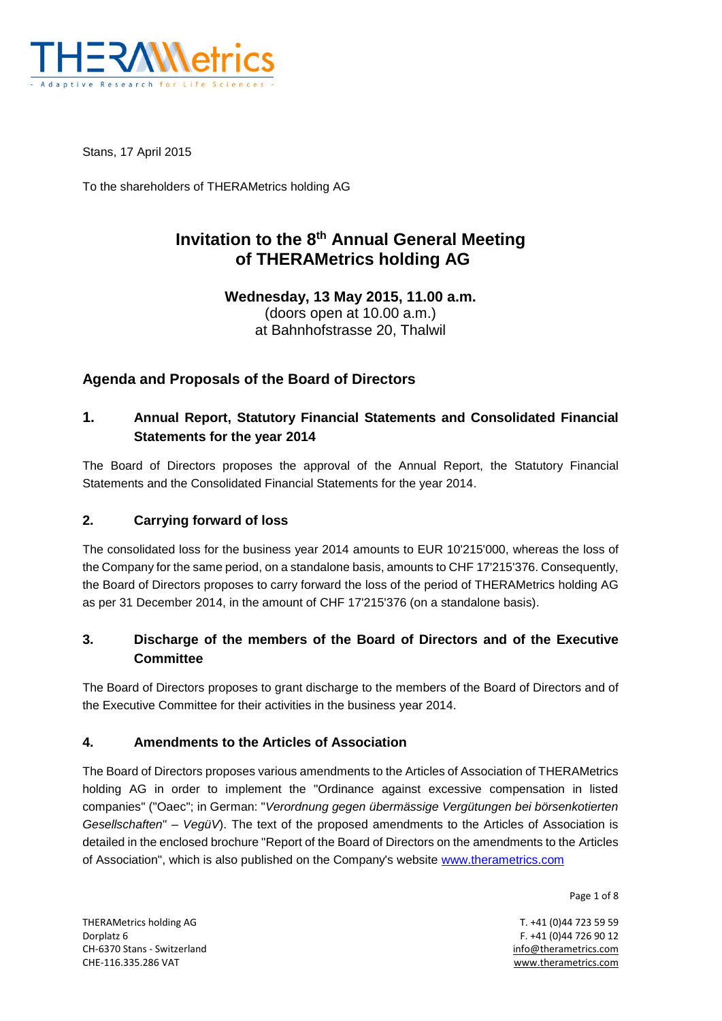

Stans, 17 April 2015

To the shareholders of THERAMetrics holding AG

## **Invitation to the 8th Annual General Meeting of THERAMetrics holding AG**

**Wednesday, 13 May 2015, 11.00 a.m.** (doors open at 10.00 a.m.) at Bahnhofstrasse 20, Thalwil

## **Agenda and Proposals of the Board of Directors**

## **1. Annual Report, Statutory Financial Statements and Consolidated Financial Statements for the year 2014**

The Board of Directors proposes the approval of the Annual Report, the Statutory Financial Statements and the Consolidated Financial Statements for the year 2014.

#### **2. Carrying forward of loss**

The consolidated loss for the business year 2014 amounts to EUR 10'215'000, whereas the loss of the Company for the same period, on a standalone basis, amounts to CHF 17'215'376. Consequently, the Board of Directors proposes to carry forward the loss of the period of THERAMetrics holding AG as per 31 December 2014, in the amount of CHF 17'215'376 (on a standalone basis).

## **3. Discharge of the members of the Board of Directors and of the Executive Committee**

The Board of Directors proposes to grant discharge to the members of the Board of Directors and of the Executive Committee for their activities in the business year 2014.

#### **4. Amendments to the Articles of Association**

The Board of Directors proposes various amendments to the Articles of Association of THERAMetrics holding AG in order to implement the "Ordinance against excessive compensation in listed companies" ("Oaec"; in German: "*Verordnung gegen übermässige Vergütungen bei börsenkotierten Gesellschaften*" – *VegüV*). The text of the proposed amendments to the Articles of Association is detailed in the enclosed brochure "Report of the Board of Directors on the amendments to the Articles of Association", which is also published on the Company's website [www.therametrics.com](http://www.therametrics.com/)

Page 1 of 8

THERAMetrics holding AG T. +41 (0)44 723 59 59 Dorplatz 6 F. +41 (0)44 726 90 12 CH-6370 Stans - Switzerland info@therametrics.com CHE-116.335.286 VAT www.therametrics.com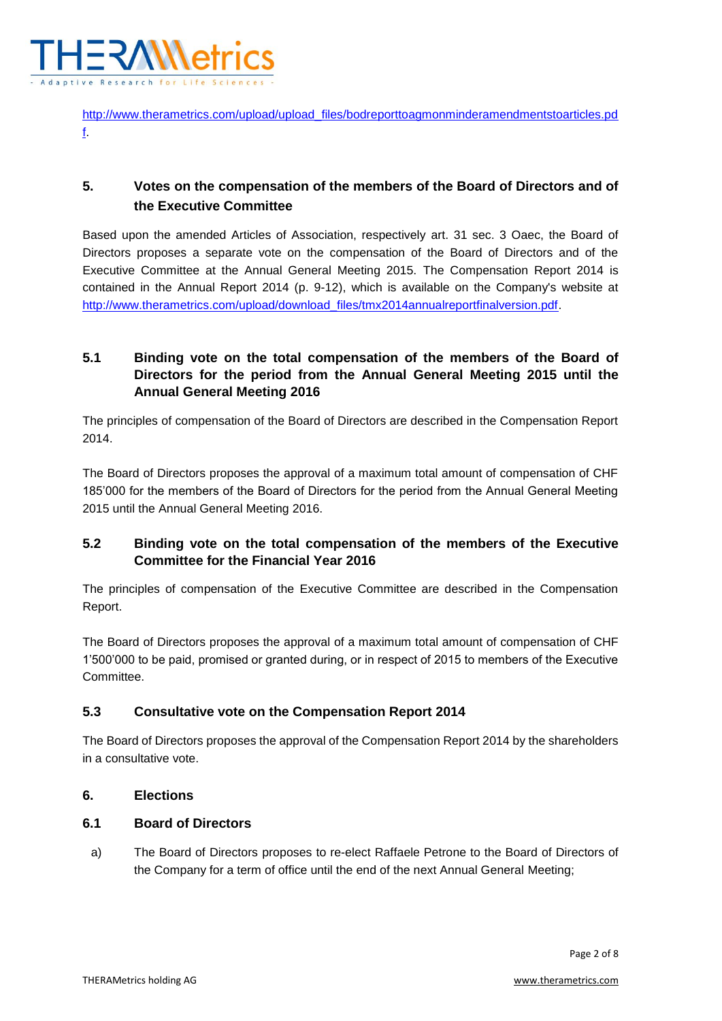

[http://www.therametrics.com/upload/upload\\_files/bodreporttoagmonminderamendmentstoarticles.pd](http://www.therametrics.com/upload/upload_files/bodreporttoagmonminderamendmentstoarticles.pdf) [f.](http://www.therametrics.com/upload/upload_files/bodreporttoagmonminderamendmentstoarticles.pdf)

## **5. Votes on the compensation of the members of the Board of Directors and of the Executive Committee**

Based upon the amended Articles of Association, respectively art. 31 sec. 3 Oaec, the Board of Directors proposes a separate vote on the compensation of the Board of Directors and of the Executive Committee at the Annual General Meeting 2015. The Compensation Report 2014 is contained in the Annual Report 2014 (p. 9-12), which is available on the Company's website at [http://www.therametrics.com/upload/download\\_files/tmx2014annualreportfinalversion.pdf.](http://www.therametrics.com/upload/download_files/tmx2014annualreportfinalversion.pdf)

## **5.1 Binding vote on the total compensation of the members of the Board of Directors for the period from the Annual General Meeting 2015 until the Annual General Meeting 2016**

The principles of compensation of the Board of Directors are described in the Compensation Report 2014.

The Board of Directors proposes the approval of a maximum total amount of compensation of CHF 185'000 for the members of the Board of Directors for the period from the Annual General Meeting 2015 until the Annual General Meeting 2016.

## **5.2 Binding vote on the total compensation of the members of the Executive Committee for the Financial Year 2016**

The principles of compensation of the Executive Committee are described in the Compensation Report.

The Board of Directors proposes the approval of a maximum total amount of compensation of CHF 1'500'000 to be paid, promised or granted during, or in respect of 2015 to members of the Executive Committee.

## **5.3 Consultative vote on the Compensation Report 2014**

The Board of Directors proposes the approval of the Compensation Report 2014 by the shareholders in a consultative vote.

## **6. Elections**

#### **6.1 Board of Directors**

a) The Board of Directors proposes to re-elect Raffaele Petrone to the Board of Directors of the Company for a term of office until the end of the next Annual General Meeting;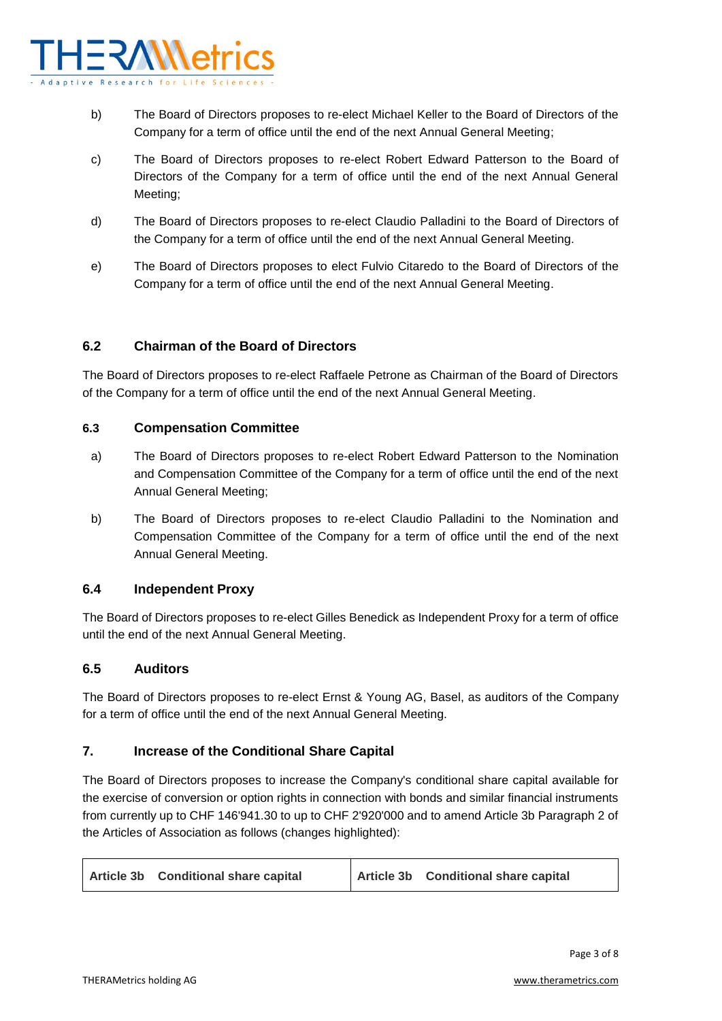

- b) The Board of Directors proposes to re-elect Michael Keller to the Board of Directors of the Company for a term of office until the end of the next Annual General Meeting;
- c) The Board of Directors proposes to re-elect Robert Edward Patterson to the Board of Directors of the Company for a term of office until the end of the next Annual General Meeting;
- d) The Board of Directors proposes to re-elect Claudio Palladini to the Board of Directors of the Company for a term of office until the end of the next Annual General Meeting.
- e) The Board of Directors proposes to elect Fulvio Citaredo to the Board of Directors of the Company for a term of office until the end of the next Annual General Meeting.

#### **6.2 Chairman of the Board of Directors**

The Board of Directors proposes to re-elect Raffaele Petrone as Chairman of the Board of Directors of the Company for a term of office until the end of the next Annual General Meeting.

#### **6.3 Compensation Committee**

- a) The Board of Directors proposes to re-elect Robert Edward Patterson to the Nomination and Compensation Committee of the Company for a term of office until the end of the next Annual General Meeting;
- b) The Board of Directors proposes to re-elect Claudio Palladini to the Nomination and Compensation Committee of the Company for a term of office until the end of the next Annual General Meeting.

#### **6.4 Independent Proxy**

The Board of Directors proposes to re-elect Gilles Benedick as Independent Proxy for a term of office until the end of the next Annual General Meeting.

#### **6.5 Auditors**

The Board of Directors proposes to re-elect Ernst & Young AG, Basel, as auditors of the Company for a term of office until the end of the next Annual General Meeting.

#### **7. Increase of the Conditional Share Capital**

The Board of Directors proposes to increase the Company's conditional share capital available for the exercise of conversion or option rights in connection with bonds and similar financial instruments from currently up to CHF 146'941.30 to up to CHF 2'920'000 and to amend Article 3b Paragraph 2 of the Articles of Association as follows (changes highlighted):

| Article 3b Conditional share capital | Article 3b Conditional share capital |
|--------------------------------------|--------------------------------------|
|                                      |                                      |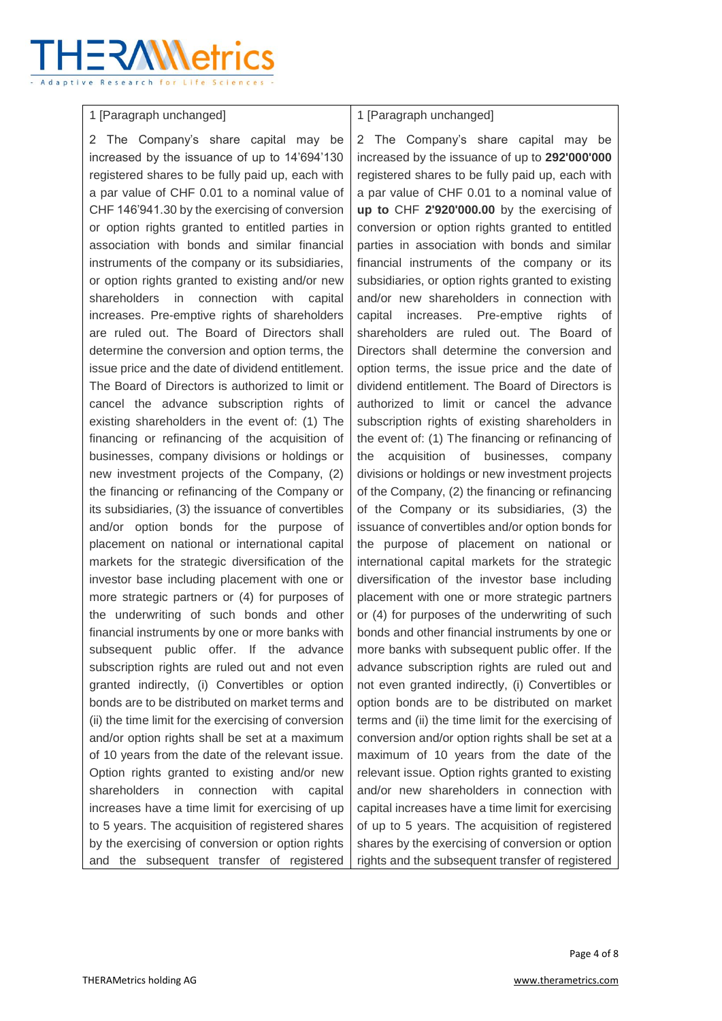# IER∕W\eti

#### 1 [Paragraph unchanged]

2 The Company's share capital may be increased by the issuance of up to 14'694'130 registered shares to be fully paid up, each with a par value of CHF 0.01 to a nominal value of CHF 146'941.30 by the exercising of conversion or option rights granted to entitled parties in association with bonds and similar financial instruments of the company or its subsidiaries, or option rights granted to existing and/or new shareholders in connection with capital increases. Pre-emptive rights of shareholders are ruled out. The Board of Directors shall determine the conversion and option terms, the issue price and the date of dividend entitlement. The Board of Directors is authorized to limit or cancel the advance subscription rights of existing shareholders in the event of: (1) The financing or refinancing of the acquisition of businesses, company divisions or holdings or new investment projects of the Company, (2) the financing or refinancing of the Company or its subsidiaries, (3) the issuance of convertibles and/or option bonds for the purpose of placement on national or international capital markets for the strategic diversification of the investor base including placement with one or more strategic partners or (4) for purposes of the underwriting of such bonds and other financial instruments by one or more banks with subsequent public offer. If the advance subscription rights are ruled out and not even granted indirectly, (i) Convertibles or option bonds are to be distributed on market terms and (ii) the time limit for the exercising of conversion and/or option rights shall be set at a maximum of 10 years from the date of the relevant issue. Option rights granted to existing and/or new shareholders in connection with capital increases have a time limit for exercising of up to 5 years. The acquisition of registered shares by the exercising of conversion or option rights and the subsequent transfer of registered

## 1 [Paragraph unchanged]

2 The Company's share capital may be increased by the issuance of up to **292'000'000** registered shares to be fully paid up, each with a par value of CHF 0.01 to a nominal value of **up to** CHF **2'920'000.00** by the exercising of conversion or option rights granted to entitled parties in association with bonds and similar financial instruments of the company or its subsidiaries, or option rights granted to existing and/or new shareholders in connection with capital increases. Pre-emptive rights of shareholders are ruled out. The Board of Directors shall determine the conversion and option terms, the issue price and the date of dividend entitlement. The Board of Directors is authorized to limit or cancel the advance subscription rights of existing shareholders in the event of: (1) The financing or refinancing of the acquisition of businesses, company divisions or holdings or new investment projects of the Company, (2) the financing or refinancing of the Company or its subsidiaries, (3) the issuance of convertibles and/or option bonds for the purpose of placement on national or international capital markets for the strategic diversification of the investor base including placement with one or more strategic partners or (4) for purposes of the underwriting of such bonds and other financial instruments by one or more banks with subsequent public offer. If the advance subscription rights are ruled out and not even granted indirectly, (i) Convertibles or option bonds are to be distributed on market terms and (ii) the time limit for the exercising of conversion and/or option rights shall be set at a maximum of 10 years from the date of the relevant issue. Option rights granted to existing and/or new shareholders in connection with capital increases have a time limit for exercising of up to 5 years. The acquisition of registered shares by the exercising of conversion or option rights and the subsequent transfer of registered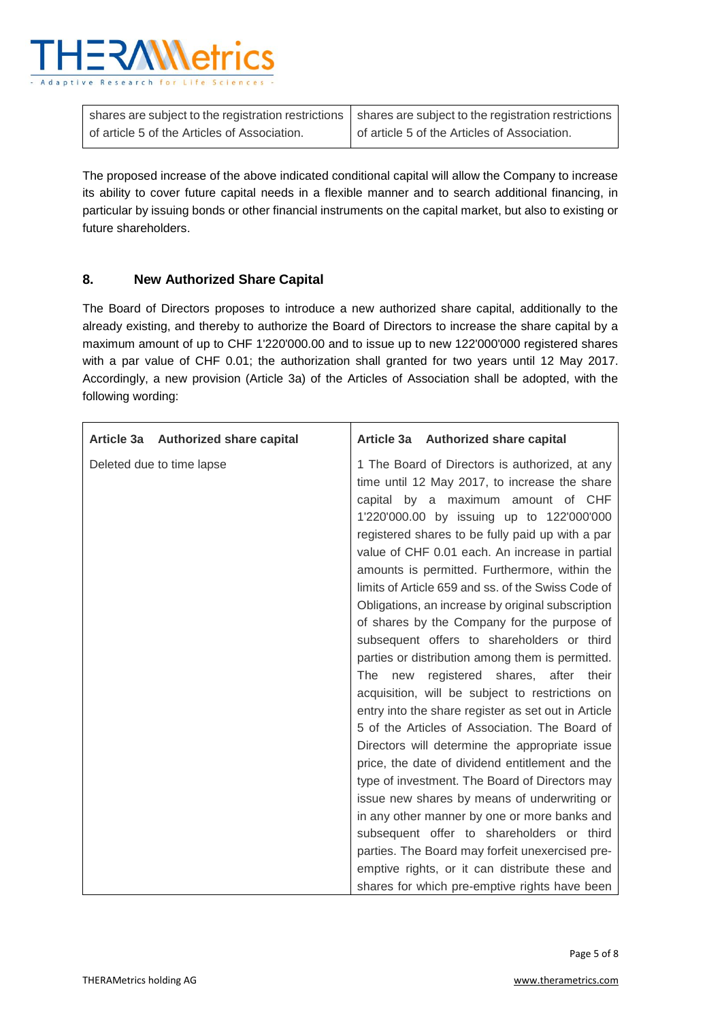

|                                              | shares are subject to the registration restrictions   shares are subject to the registration restrictions |
|----------------------------------------------|-----------------------------------------------------------------------------------------------------------|
| of article 5 of the Articles of Association. | of article 5 of the Articles of Association.                                                              |

The proposed increase of the above indicated conditional capital will allow the Company to increase its ability to cover future capital needs in a flexible manner and to search additional financing, in particular by issuing bonds or other financial instruments on the capital market, but also to existing or future shareholders.

#### **8. New Authorized Share Capital**

The Board of Directors proposes to introduce a new authorized share capital, additionally to the already existing, and thereby to authorize the Board of Directors to increase the share capital by a maximum amount of up to CHF 1'220'000.00 and to issue up to new 122'000'000 registered shares with a par value of CHF 0.01; the authorization shall granted for two years until 12 May 2017. Accordingly, a new provision (Article 3a) of the Articles of Association shall be adopted, with the following wording:

| Article 3a Authorized share capital | Article 3a Authorized share capital                                                                                                                                                                                                                                                                                                                                                                                                                                                                                                                                                                                                                                                                                                                                                                                                                                                                                                                                                                                      |
|-------------------------------------|--------------------------------------------------------------------------------------------------------------------------------------------------------------------------------------------------------------------------------------------------------------------------------------------------------------------------------------------------------------------------------------------------------------------------------------------------------------------------------------------------------------------------------------------------------------------------------------------------------------------------------------------------------------------------------------------------------------------------------------------------------------------------------------------------------------------------------------------------------------------------------------------------------------------------------------------------------------------------------------------------------------------------|
| Deleted due to time lapse           | 1 The Board of Directors is authorized, at any<br>time until 12 May 2017, to increase the share<br>capital by a maximum amount of CHF<br>1'220'000.00 by issuing up to 122'000'000<br>registered shares to be fully paid up with a par<br>value of CHF 0.01 each. An increase in partial<br>amounts is permitted. Furthermore, within the<br>limits of Article 659 and ss. of the Swiss Code of<br>Obligations, an increase by original subscription<br>of shares by the Company for the purpose of<br>subsequent offers to shareholders or third<br>parties or distribution among them is permitted.<br>registered shares, after their<br>The<br>new<br>acquisition, will be subject to restrictions on<br>entry into the share register as set out in Article<br>5 of the Articles of Association. The Board of<br>Directors will determine the appropriate issue<br>price, the date of dividend entitlement and the<br>type of investment. The Board of Directors may<br>issue new shares by means of underwriting or |
|                                     | in any other manner by one or more banks and                                                                                                                                                                                                                                                                                                                                                                                                                                                                                                                                                                                                                                                                                                                                                                                                                                                                                                                                                                             |
|                                     | subsequent offer to shareholders or third                                                                                                                                                                                                                                                                                                                                                                                                                                                                                                                                                                                                                                                                                                                                                                                                                                                                                                                                                                                |
|                                     | parties. The Board may forfeit unexercised pre-                                                                                                                                                                                                                                                                                                                                                                                                                                                                                                                                                                                                                                                                                                                                                                                                                                                                                                                                                                          |
|                                     | emptive rights, or it can distribute these and                                                                                                                                                                                                                                                                                                                                                                                                                                                                                                                                                                                                                                                                                                                                                                                                                                                                                                                                                                           |
|                                     | shares for which pre-emptive rights have been                                                                                                                                                                                                                                                                                                                                                                                                                                                                                                                                                                                                                                                                                                                                                                                                                                                                                                                                                                            |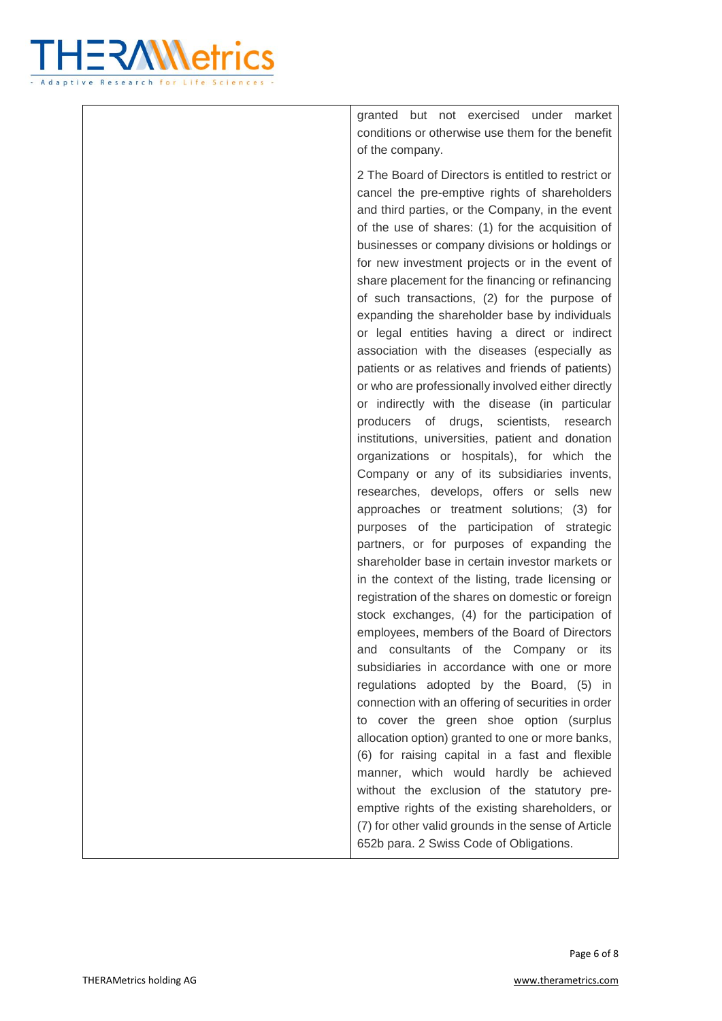

granted but not exercised under market conditions or otherwise use them for the benefit of the company.

2 The Board of Directors is entitled to restrict or cancel the pre-emptive rights of shareholders and third parties, or the Company, in the event of the use of shares: (1) for the acquisition of businesses or company divisions or holdings or for new investment projects or in the event of share placement for the financing or refinancing of such transactions, (2) for the purpose of expanding the shareholder base by individuals or legal entities having a direct or indirect association with the diseases (especially as patients or as relatives and friends of patients) or who are professionally involved either directly or indirectly with the disease (in particular producers of drugs, scientists, research institutions, universities, patient and donation organizations or hospitals), for which the Company or any of its subsidiaries invents, researches, develops, offers or sells new approaches or treatment solutions; (3) for purposes of the participation of strategic partners, or for purposes of expanding the shareholder base in certain investor markets or in the context of the listing, trade licensing or registration of the shares on domestic or foreign stock exchanges, (4) for the participation of employees, members of the Board of Directors and consultants of the Company or its subsidiaries in accordance with one or more regulations adopted by the Board, (5) in connection with an offering of securities in order to cover the green shoe option (surplus allocation option) granted to one or more banks, (6) for raising capital in a fast and flexible manner, which would hardly be achieved without the exclusion of the statutory preemptive rights of the existing shareholders, or (7) for other valid grounds in the sense of Article 652b para. 2 Swiss Code of Obligations.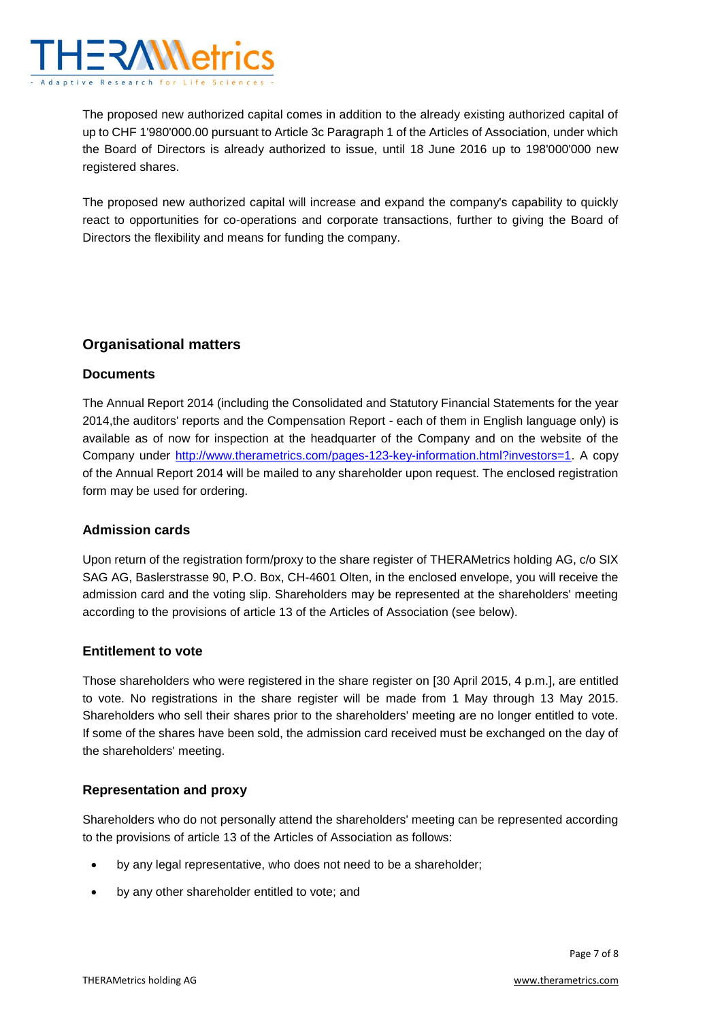

The proposed new authorized capital comes in addition to the already existing authorized capital of up to CHF 1'980'000.00 pursuant to Article 3c Paragraph 1 of the Articles of Association, under which the Board of Directors is already authorized to issue, until 18 June 2016 up to 198'000'000 new registered shares.

The proposed new authorized capital will increase and expand the company's capability to quickly react to opportunities for co-operations and corporate transactions, further to giving the Board of Directors the flexibility and means for funding the company.

## **Organisational matters**

#### **Documents**

The Annual Report 2014 (including the Consolidated and Statutory Financial Statements for the year 2014,the auditors' reports and the Compensation Report - each of them in English language only) is available as of now for inspection at the headquarter of the Company and on the website of the Company under [http://www.therametrics.com/pages-123-key-information.html?investors=1.](http://www.therametrics.com/pages-123-key-information.html?investors=1) A copy of the Annual Report 2014 will be mailed to any shareholder upon request. The enclosed registration form may be used for ordering.

#### **Admission cards**

Upon return of the registration form/proxy to the share register of THERAMetrics holding AG, c/o SIX SAG AG, Baslerstrasse 90, P.O. Box, CH-4601 Olten, in the enclosed envelope, you will receive the admission card and the voting slip. Shareholders may be represented at the shareholders' meeting according to the provisions of article 13 of the Articles of Association (see below).

#### **Entitlement to vote**

Those shareholders who were registered in the share register on [30 April 2015, 4 p.m.], are entitled to vote. No registrations in the share register will be made from 1 May through 13 May 2015. Shareholders who sell their shares prior to the shareholders' meeting are no longer entitled to vote. If some of the shares have been sold, the admission card received must be exchanged on the day of the shareholders' meeting.

#### **Representation and proxy**

Shareholders who do not personally attend the shareholders' meeting can be represented according to the provisions of article 13 of the Articles of Association as follows:

- by any legal representative, who does not need to be a shareholder;
- by any other shareholder entitled to vote; and